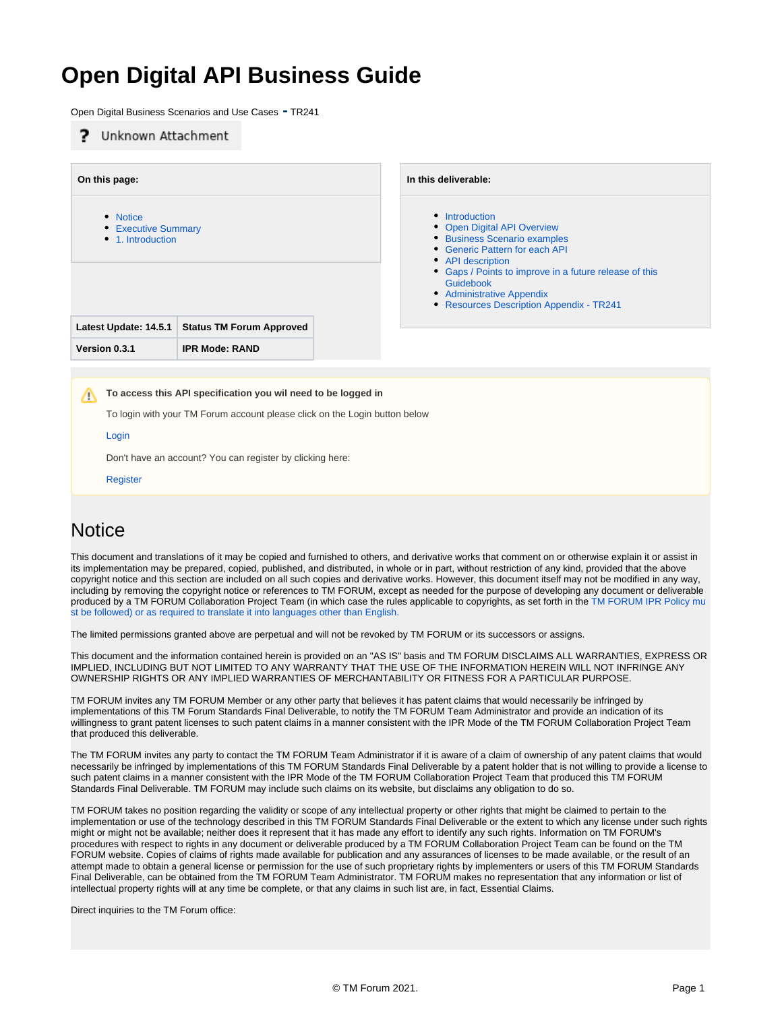# **Open Digital API Business Guide**

Open Digital Business Scenarios and Use Cases **-** TR241

#### Unknown Attachment **On this page: In this deliverable:** • [Notice](#page-0-0) • [Introduction](https://projects.tmforum.org/wiki/display/API/Introduction) • [Open Digital API Overview](https://projects.tmforum.org/wiki/display/API/Open+Digital+API+Overview) • [Executive Summary](#page-1-0) • [1. Introduction](#page-1-1) [Business Scenario examples](https://projects.tmforum.org/wiki/display/API/Business+Scenario+examples) [Generic Pattern for each API](https://projects.tmforum.org/wiki/display/API/Generic+Pattern+for+each+API) • [API description](https://projects.tmforum.org/wiki/display/API/API+description) [Gaps / Points to improve in a future release of this](https://projects.tmforum.org/wiki/pages/viewpage.action?pageId=41255203)  [Guidebook](https://projects.tmforum.org/wiki/pages/viewpage.action?pageId=41255203) **[Administrative Appendix](https://projects.tmforum.org/wiki/display/API/Administrative+Appendix)** [Resources Description Appendix - TR241](https://projects.tmforum.org/wiki/display/API/Resources+Description+Appendix+-+TR241) **Latest Update: 14.5.1 Status TM Forum Approved Version 0.3.1 IPR Mode: RAND To access this API specification you wil need to be logged in** Λ

To login with your TM Forum account please click on the Login button below

#### [Login](https://projects.tmforum.org/wiki/login.action?os_destination=%2Fdisplay%2FAPI%2FOpen%2BAPI%2BTable)

Don't have an account? You can register by clicking here:

```
Register
```
## <span id="page-0-0"></span>**Notice**

This document and translations of it may be copied and furnished to others, and derivative works that comment on or otherwise explain it or assist in its implementation may be prepared, copied, published, and distributed, in whole or in part, without restriction of any kind, provided that the above copyright notice and this section are included on all such copies and derivative works. However, this document itself may not be modified in any way, including by removing the copyright notice or references to TM FORUM, except as needed for the purpose of developing any document or deliverable produced by a TM FORUM Collaboration Project Team (in which case the rules applicable to copyrights, as set forth in the [TM FORUM IPR Policy mu](http://www.tmforum.org/IPRPolicy/11525/home.html) [st be followed\) or as required to translate it into languages other than English.](http://www.tmforum.org/IPRPolicy/11525/home.html)

The limited permissions granted above are perpetual and will not be revoked by TM FORUM or its successors or assigns.

This document and the information contained herein is provided on an "AS IS" basis and TM FORUM DISCLAIMS ALL WARRANTIES, EXPRESS OR IMPLIED, INCLUDING BUT NOT LIMITED TO ANY WARRANTY THAT THE USE OF THE INFORMATION HEREIN WILL NOT INFRINGE ANY OWNERSHIP RIGHTS OR ANY IMPLIED WARRANTIES OF MERCHANTABILITY OR FITNESS FOR A PARTICULAR PURPOSE.

TM FORUM invites any TM FORUM Member or any other party that believes it has patent claims that would necessarily be infringed by implementations of this TM Forum Standards Final Deliverable, to notify the TM FORUM Team Administrator and provide an indication of its willingness to grant patent licenses to such patent claims in a manner consistent with the IPR Mode of the TM FORUM Collaboration Project Team that produced this deliverable.

The TM FORUM invites any party to contact the TM FORUM Team Administrator if it is aware of a claim of ownership of any patent claims that would necessarily be infringed by implementations of this TM FORUM Standards Final Deliverable by a patent holder that is not willing to provide a license to such patent claims in a manner consistent with the IPR Mode of the TM FORUM Collaboration Project Team that produced this TM FORUM Standards Final Deliverable. TM FORUM may include such claims on its website, but disclaims any obligation to do so.

TM FORUM takes no position regarding the validity or scope of any intellectual property or other rights that might be claimed to pertain to the implementation or use of the technology described in this TM FORUM Standards Final Deliverable or the extent to which any license under such rights might or might not be available; neither does it represent that it has made any effort to identify any such rights. Information on TM FORUM's procedures with respect to rights in any document or deliverable produced by a TM FORUM Collaboration Project Team can be found on the TM FORUM website. Copies of claims of rights made available for publication and any assurances of licenses to be made available, or the result of an attempt made to obtain a general license or permission for the use of such proprietary rights by implementers or users of this TM FORUM Standards Final Deliverable, can be obtained from the TM FORUM Team Administrator. TM FORUM makes no representation that any information or list of intellectual property rights will at any time be complete, or that any claims in such list are, in fact, Essential Claims.

Direct inquiries to the TM Forum office: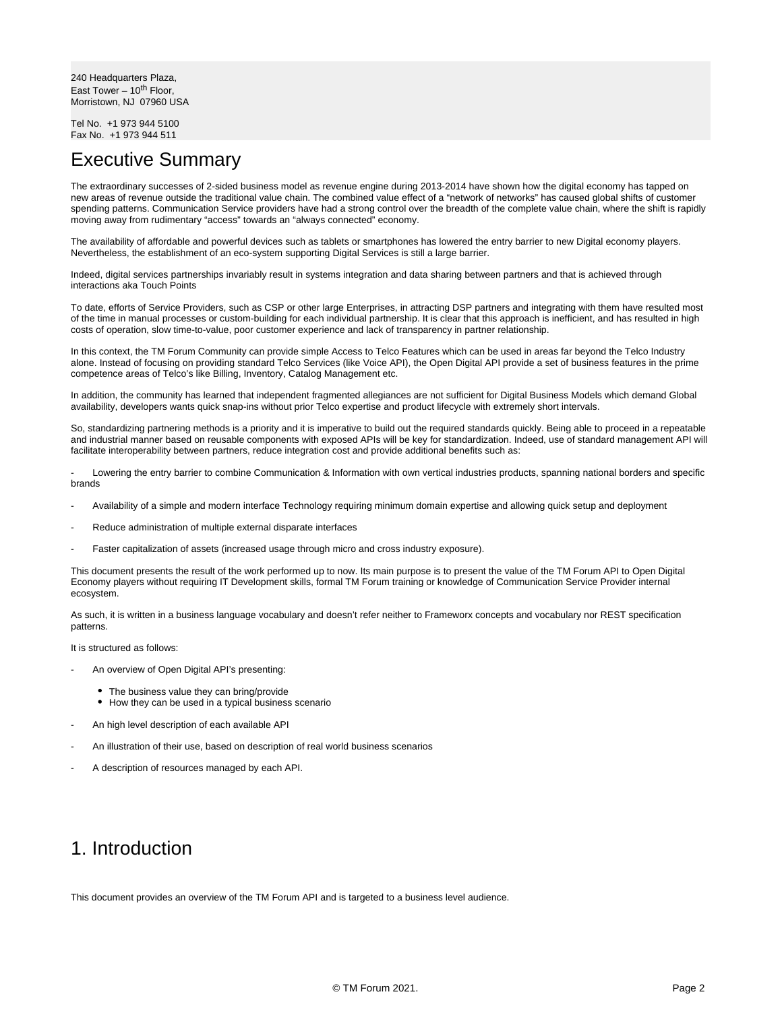240 Headquarters Plaza, East Tower –  $10^{th}$  Floor, Morristown, NJ 07960 USA

Tel No. +1 973 944 5100 Fax No. +1 973 944 511

#### <span id="page-1-0"></span>Executive Summary

The extraordinary successes of 2-sided business model as revenue engine during 2013-2014 have shown how the digital economy has tapped on new areas of revenue outside the traditional value chain. The combined value effect of a "network of networks" has caused global shifts of customer spending patterns. Communication Service providers have had a strong control over the breadth of the complete value chain, where the shift is rapidly moving away from rudimentary "access" towards an "always connected" economy.

The availability of affordable and powerful devices such as tablets or smartphones has lowered the entry barrier to new Digital economy players. Nevertheless, the establishment of an eco-system supporting Digital Services is still a large barrier.

Indeed, digital services partnerships invariably result in systems integration and data sharing between partners and that is achieved through interactions aka Touch Points

To date, efforts of Service Providers, such as CSP or other large Enterprises, in attracting DSP partners and integrating with them have resulted most of the time in manual processes or custom-building for each individual partnership. It is clear that this approach is inefficient, and has resulted in high costs of operation, slow time-to-value, poor customer experience and lack of transparency in partner relationship.

In this context, the TM Forum Community can provide simple Access to Telco Features which can be used in areas far beyond the Telco Industry alone. Instead of focusing on providing standard Telco Services (like Voice API), the Open Digital API provide a set of business features in the prime competence areas of Telco's like Billing, Inventory, Catalog Management etc.

In addition, the community has learned that independent fragmented allegiances are not sufficient for Digital Business Models which demand Global availability, developers wants quick snap-ins without prior Telco expertise and product lifecycle with extremely short intervals.

So, standardizing partnering methods is a priority and it is imperative to build out the required standards quickly. Being able to proceed in a repeatable and industrial manner based on reusable components with exposed APIs will be key for standardization. Indeed, use of standard management API will facilitate interoperability between partners, reduce integration cost and provide additional benefits such as:

Lowering the entry barrier to combine Communication & Information with own vertical industries products, spanning national borders and specific brands

- Availability of a simple and modern interface Technology requiring minimum domain expertise and allowing quick setup and deployment
- Reduce administration of multiple external disparate interfaces
- Faster capitalization of assets (increased usage through micro and cross industry exposure).

This document presents the result of the work performed up to now. Its main purpose is to present the value of the TM Forum API to Open Digital Economy players without requiring IT Development skills, formal TM Forum training or knowledge of Communication Service Provider internal ecosystem.

As such, it is written in a business language vocabulary and doesn't refer neither to Frameworx concepts and vocabulary nor REST specification patterns.

It is structured as follows:

- An overview of Open Digital API's presenting:
	- The business value they can bring/provide
	- How they can be used in a typical business scenario
- An high level description of each available API
- An illustration of their use, based on description of real world business scenarios
- A description of resources managed by each API.

### <span id="page-1-1"></span>1. Introduction

This document provides an overview of the TM Forum API and is targeted to a business level audience.